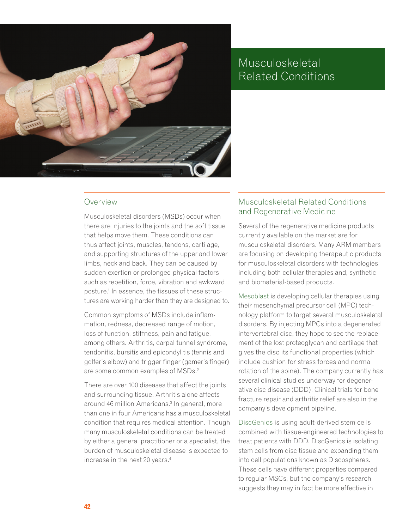

## Musculoskeletal Related Conditions

## Overview

Musculoskeletal disorders (MSDs) occur when there are injuries to the joints and the soft tissue that helps move them. These conditions can thus affect joints, muscles, tendons, cartilage, and supporting structures of the upper and lower limbs, neck and back. They can be caused by sudden exertion or prolonged physical factors such as repetition, force, vibration and awkward posture.<sup>1</sup> In essence, the tissues of these structures are working harder than they are designed to.

Common symptoms of MSDs include inflammation, redness, decreased range of motion, loss of function, stiffness, pain and fatigue, among others. Arthritis, carpal tunnel syndrome, tendonitis, bursitis and epicondylitis (tennis and golfer's elbow) and trigger finger (gamer's finger) are some common examples of MSDs. 2

There are over 100 diseases that affect the joints and surrounding tissue. Arthritis alone affects around 46 million Americans. 3 In general, more than one in four Americans has a musculoskeletal condition that requires medical attention. Though many musculoskeletal conditions can be treated by either a general practitioner or a specialist, the burden of musculoskeletal disease is expected to increase in the next 20 years. 4

## Musculoskeletal Related Conditions and Regenerative Medicine

Several of the regenerative medicine products currently available on the market are for musculoskeletal disorders. Many ARM members are focusing on developing therapeutic products for musculoskeletal disorders with technologies including both cellular therapies and, synthetic and biomaterial-based products.

Mesoblast is developing cellular therapies using their mesenchymal precursor cell (MPC) technology platform to target several musculoskeletal disorders. By injecting MPCs into a degenerated intervertebral disc, they hope to see the replacement of the lost proteoglycan and cartilage that gives the disc its functional properties (which include cushion for stress forces and normal rotation of the spine). The company currently has several clinical studies underway for degenerative disc disease (DDD). Clinical trials for bone fracture repair and arthritis relief are also in the company's development pipeline.

DiscGenics is using adult-derived stem cells combined with tissue-engineered technologies to treat patients with DDD. DiscGenics is isolating stem cells from disc tissue and expanding them into cell populations known as Discospheres. These cells have different properties compared to regular MSCs, but the company's research suggests they may in fact be more effective in